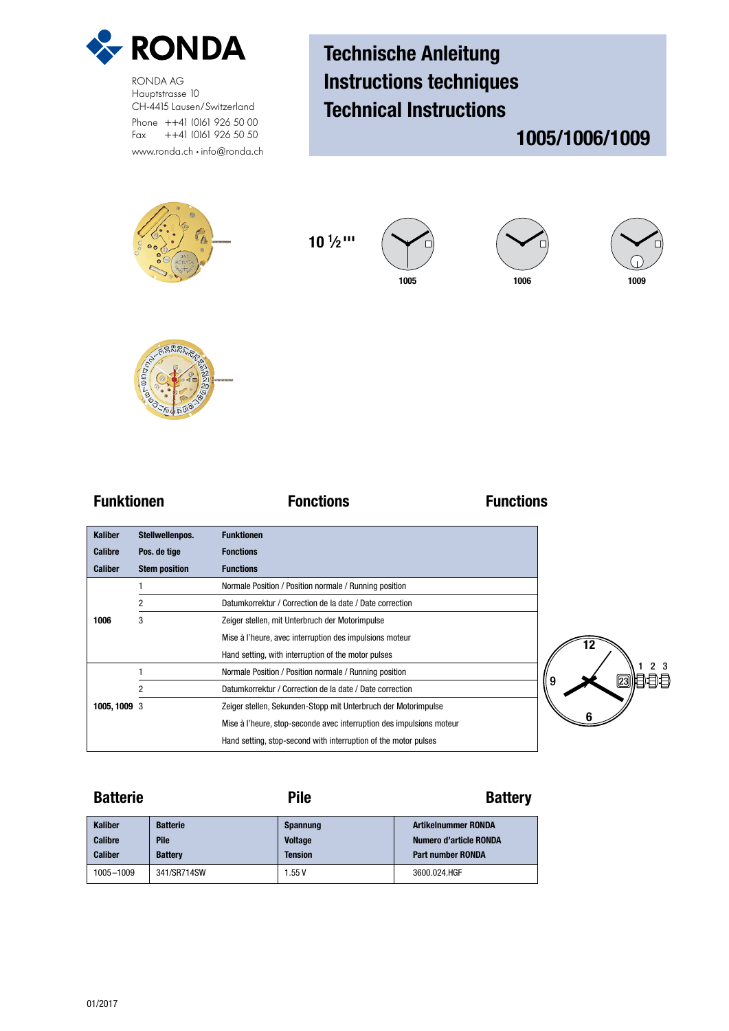

RONDA AG Hauptstrasse 10 CH-4415 Lausen/Switzerland Phone ++41 (0)61 926 50 00 Fax ++41 (0)61 926 50 50 www.ronda.ch • info@ronda.ch

# Technische Anleitung Instructions techniques Technical Instructions

## 1005/1006/1009



**10 1 ⁄2 '''**







**Funktionen Fonctions Functions**

| <b>Kaliber</b> | Stellwellenpos.      | <b>Funktionen</b>                                                    |
|----------------|----------------------|----------------------------------------------------------------------|
| <b>Calibre</b> | Pos. de tige         | <b>Fonctions</b>                                                     |
| <b>Caliber</b> | <b>Stem position</b> | <b>Functions</b>                                                     |
|                |                      | Normale Position / Position normale / Running position               |
|                | 2                    | Datumkorrektur / Correction de la date / Date correction             |
| 1006           | 3                    | Zeiger stellen, mit Unterbruch der Motorimpulse                      |
|                |                      | Mise à l'heure, avec interruption des impulsions moteur              |
|                |                      | Hand setting, with interruption of the motor pulses                  |
|                |                      | Normale Position / Position normale / Running position               |
|                | $\overline{2}$       | Datumkorrektur / Correction de la date / Date correction             |
| 1005, 1009 3   |                      | Zeiger stellen, Sekunden-Stopp mit Unterbruch der Motorimpulse       |
|                |                      | Mise à l'heure, stop-seconde avec interruption des impulsions moteur |
|                |                      | Hand setting, stop-second with interruption of the motor pulses      |

Batterie **Batterie** Pile **Pile Battery** 

| <b>Kaliber</b> | <b>Batterie</b> | <b>Spannung</b> | <b>Artikelnummer RONDA</b> |
|----------------|-----------------|-----------------|----------------------------|
| <b>Calibre</b> | Pile            | <b>Voltage</b>  | Numero d'article RONDA     |
| <b>Caliber</b> | <b>Battery</b>  | <b>Tension</b>  | <b>Part number RONDA</b>   |
| 1005-1009      | 341/SR714SW     | . 55 V          | 3600.024.HGF               |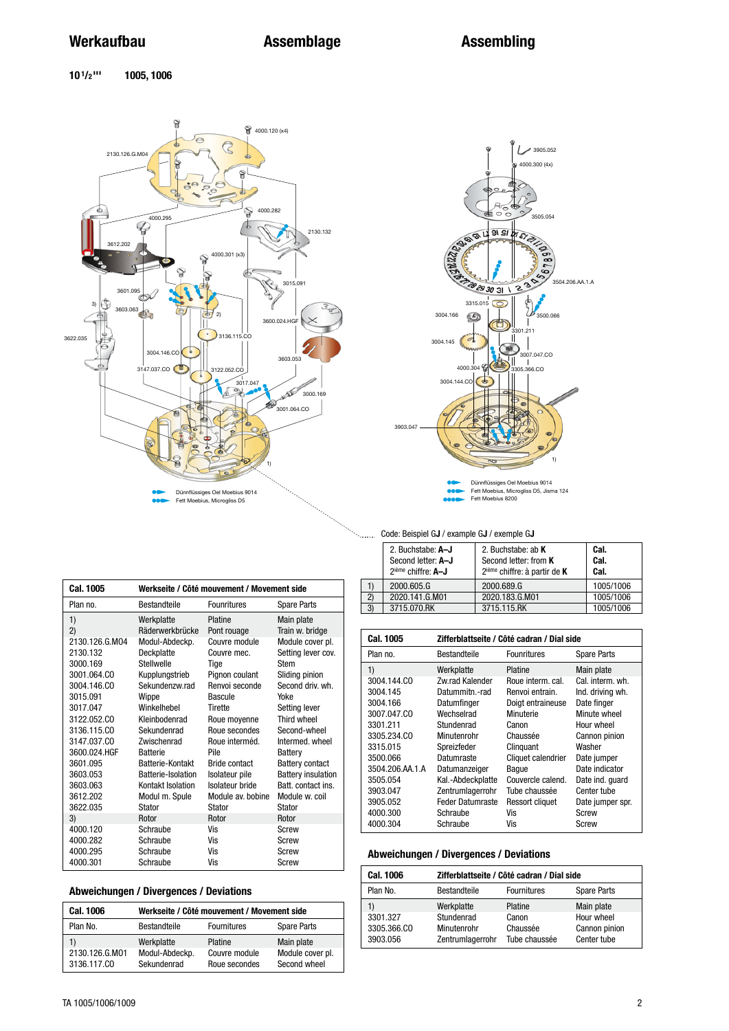$10^{1/2}$ <sup>111</sup> **10 1/2 ''' 1005, 1006**



**Cal. 1005 Werkseite / Côté mouvement / Movement side**



### Code: Beispiel G**J** / example G**J** / exemple G**J**

|    | 2. Buchstabe: A-J<br>Second letter: A-J<br>2 <sup>ième</sup> chiffre: A-J | 2. Buchstabe: ab K<br>Second letter: from K<br>$2ième chiffre: à partir de K$ | Cal.<br>Cal.<br>Cal. |
|----|---------------------------------------------------------------------------|-------------------------------------------------------------------------------|----------------------|
|    | 2000.605.G                                                                | 2000.689.G                                                                    | 1005/1006            |
| 2) | 2020.141.G.M01                                                            | 2020.183.G.M01                                                                | 1005/1006            |
| 3) | 3715.070.RK                                                               | 3715.115.RK                                                                   | 1005/1006            |

| Plan no.       | <b>Bestandteile</b> | <b>Founritures</b>   | <b>Spare Parts</b>        | ∼,<br>3) | LvLv.<br>3715.0 |
|----------------|---------------------|----------------------|---------------------------|----------|-----------------|
| 1)             | Werkplatte          | Platine              | Main plate                |          |                 |
| 2)             | Räderwerkbrücke     | Pont rouage          | Train w. bridge           |          | Cal. 1005       |
| 2130.126.G.MO4 | Modul-Abdeckp.      | Couvre module        | Module cover pl.          |          |                 |
| 2130.132       | Deckplatte          | Couvre mec.          | Setting lever cov.        | Plan no. |                 |
| 3000.169       | Stellwelle          | Tige                 | Stem                      | 1)       |                 |
| 3001.064.CO    | Kupplungstrieb      | Pignon coulant       | Sliding pinion            |          | 3004.144.CO     |
| 3004.146.CO    | Sekundenzw.rad      | Renvoi seconde       | Second driv. wh.          |          | 3004.145        |
| 3015.091       | Wippe               | Bascule              | Yoke                      |          | 3004.166        |
| 3017.047       | Winkelhebel         | Tirette              | Setting lever             |          | 3007.047.CO     |
| 3122.052.CO    | Kleinbodenrad       | Roue moyenne         | Third wheel               |          | 3301.211        |
| 3136.115.CO    | Sekundenrad         | Roue secondes        | Second-wheel              |          | 3305.234.CO     |
| 3147.037.CO    | Zwischenrad         | Roue interméd.       | Intermed, wheel           |          | 3315.015        |
| 3600.024.HGF   | <b>Batterie</b>     | Pile                 | Battery                   |          | 3500.066        |
| 3601.095       | Batterie-Kontakt    | <b>Bride contact</b> | <b>Battery contact</b>    |          | 3504.206.AA     |
| 3603.053       | Batterie-Isolation  | Isolateur pile       | <b>Battery insulation</b> |          | 3505.054        |
| 3603.063       | Kontakt Isolation   | Isolateur bride      | Batt, contact ins.        |          | 3903.047        |
| 3612.202       | Modul m. Spule      | Module av. bobine    | Module w. coil            |          | 3905.052        |
| 3622.035       | Stator              | Stator               | Stator                    |          | 4000.300        |
| 3)             | Rotor               | Rotor                | Rotor                     |          | 4000.304        |
| 4000.120       | Schraube            | Vis                  | Screw                     |          |                 |
| 4000.282       | Schraube            | Vis                  | Screw                     |          |                 |
| 4000.295       | Schraube            | Vis                  | Screw                     |          | <b>Abweichu</b> |
| 4000.301       | Schraube            | Vis                  | <b>Screw</b>              |          |                 |

### **Abweichungen / Divergences / Deviations**

| <b>Cal. 1006</b>              | Werkseite / Côté mouvement / Movement side |                                |                                  |
|-------------------------------|--------------------------------------------|--------------------------------|----------------------------------|
| Plan No.                      | Bestandteile                               | <b>Fournitures</b>             | <b>Spare Parts</b>               |
| 1)                            | Werkplatte                                 | Platine                        | Main plate                       |
| 2130.126.G.M01<br>3136.117.CO | Modul-Abdeckp.<br>Sekundenrad              | Couvre module<br>Roue secondes | Module cover pl.<br>Second wheel |

| <b>Cal. 1005</b> | Zifferblattseite / Côté cadran / Dial side |                        |                  |  |  |
|------------------|--------------------------------------------|------------------------|------------------|--|--|
| Plan no.         | <b>Bestandteile</b>                        | <b>Founritures</b>     | Spare Parts      |  |  |
| 1)               | Werkplatte                                 | Platine                | Main plate       |  |  |
| 3004.144.CO      | <b>7w rad Kalender</b>                     | Roue interm, cal.      | Cal. interm. wh. |  |  |
| 3004.145         | Datummitn.-rad                             | Renvoi entrain.        | Ind. driving wh. |  |  |
| 3004.166         | Datumfinger                                | Doigt entraineuse      | Date finger      |  |  |
| 3007.047.CO      | Wechselrad                                 | Minuterie              | Minute wheel     |  |  |
| 3301.211         | Stundenrad                                 | Canon                  | Hour wheel       |  |  |
| 3305.234.CO      | Minutenrohr                                | Chaussée               | Cannon pinion    |  |  |
| 3315.015         | Spreizfeder                                | Clinguant              | Washer           |  |  |
| 3500.066         | Datumraste                                 | Cliquet calendrier     | Date jumper      |  |  |
| 3504.206.AA.1.A  | Datumanzeiger                              | Baque                  | Date indicator   |  |  |
| 3505.054         | Kal.-Abdeckplatte                          | Couvercle calend.      | Date ind. quard  |  |  |
| 3903.047         | Zentrumlagerrohr                           | Tube chaussée          | Center tube      |  |  |
| 3905.052         | <b>Feder Datumraste</b>                    | <b>Ressort cliquet</b> | Date jumper spr. |  |  |
| 4000.300         | Schraube                                   | Vis                    | Screw            |  |  |
| 4000.304         | Schraube                                   | Vis                    | Screw            |  |  |

### **Abweichungen / Divergences / Deviations**

| <b>Cal. 1006</b> | Zifferblattseite / Côté cadran / Dial side |                    |               |  |
|------------------|--------------------------------------------|--------------------|---------------|--|
| Plan No.         | Bestandteile                               | <b>Fournitures</b> | Spare Parts   |  |
| 1)               | Werkplatte                                 | Platine            | Main plate    |  |
| 3301.327         | Stundenrad                                 | Canon              | Hour wheel    |  |
| 3305.366.CO      | Minutenrohr                                | Chaussée           | Cannon pinion |  |
| 3903.056         | Zentrumlagerrohr                           | Tube chaussée      | Center tube   |  |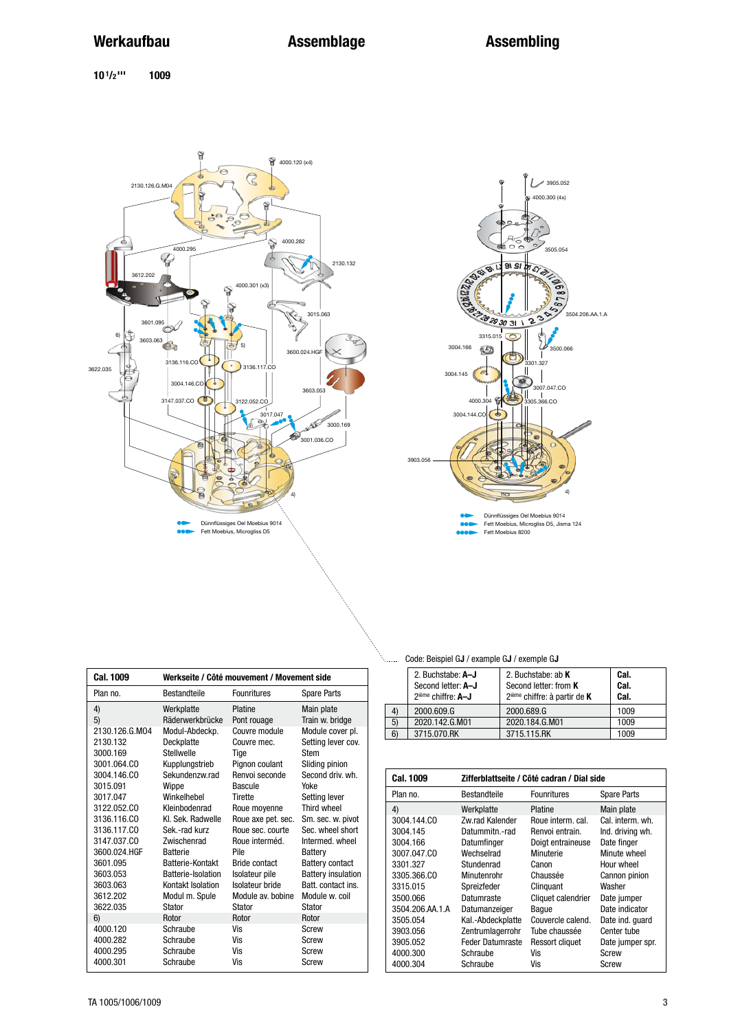**10 1/2 ''' 1009**





Dünnflüssiges Oel Moebius 9014 Fett Moebius, Microgliss D5, Jisma 124 Fett Moebius 8200

| <b>Cal. 1009</b> |                     | Werkseite / Côté mouvement / Movement side |                           |
|------------------|---------------------|--------------------------------------------|---------------------------|
| Plan no.         | <b>Bestandteile</b> | <b>Founritures</b>                         | <b>Spare Parts</b>        |
| 4)               | Werkplatte          | Platine                                    | Main plate                |
| 5)               | Räderwerkbrücke     | Pont rouage                                | Train w. bridge           |
| 2130.126.G.MO4   | Modul-Abdeckp.      | Couvre module                              | Module cover pl.          |
| 2130.132         | Deckplatte          | Couvre mec.                                | Setting lever cov.        |
| 3000.169         | Stellwelle          | Tige                                       | Stem                      |
| 3001.064.CO      | Kupplungstrieb      | Pignon coulant                             | Sliding pinion            |
| 3004.146.CO      | Sekundenzw.rad      | Renvoi seconde                             | Second driv. wh.          |
| 3015.091         | Wippe               | Bascule                                    | Yoke                      |
| 3017.047         | Winkelhebel         | Tirette                                    | Setting lever             |
| 3122.052.CO      | Kleinbodenrad       | Roue moyenne                               | Third wheel               |
| 3136.116.CO      | Kl. Sek. Radwelle   | Roue axe pet. sec.                         | Sm. sec. w. pivot         |
| 3136.117.CO      | Sek.-rad kurz       | Roue sec. courte                           | Sec. wheel short          |
| 3147.037.CO      | Zwischenrad         | Roue interméd.                             | Intermed, wheel           |
| 3600.024.HGF     | <b>Batterie</b>     | Pile                                       | Battery                   |
| 3601.095         | Batterie-Kontakt    | <b>Bride contact</b>                       | <b>Battery contact</b>    |
| 3603.053         | Batterie-Isolation  | Isolateur pile                             | <b>Battery insulation</b> |
| 3603.063         | Kontakt Isolation   | Isolateur bride                            | Batt, contact ins.        |
| 3612.202         | Modul m. Spule      | Module av. bobine                          | Module w. coil            |
| 3622.035         | Stator              | Stator                                     | Stator                    |
| 6)               | Rotor               | Rotor                                      | Rotor                     |
| 4000.120         | Schraube            | Vis                                        | Screw                     |
| 4000.282         | Schraube            | Vis                                        | Screw                     |
| 4000.295         | Schraube            | Vis                                        | Screw                     |
| 4000.301         | Schraube            | Vis                                        | <b>Screw</b>              |
|                  |                     |                                            |                           |

Code: Beispiel G**J** / example G**J** / exemple G**J**

|                | 2. Buchstabe: A-J<br>Second letter: A-J<br>2 <sup>ième</sup> chiffre: A-J | 2. Buchstabe: ab $K$<br>Second letter: from K<br>$2ième chiffre: à partir de K$ | Cal.<br>Cal.<br>Cal. |
|----------------|---------------------------------------------------------------------------|---------------------------------------------------------------------------------|----------------------|
| $\overline{4}$ | 2000.609.G                                                                | 2000.689.G                                                                      | 1009                 |
| 5)             | 2020.142.G.M01                                                            | 2020.184.G.M01                                                                  | 1009                 |
| 6)             | 3715.070.RK                                                               | 3715.115.RK                                                                     | 1009                 |

| Cal. 1009       | Zifferblattseite / Côté cadran / Dial side |                        |                    |  |
|-----------------|--------------------------------------------|------------------------|--------------------|--|
| Plan no.        | Bestandteile                               | <b>Founritures</b>     | <b>Spare Parts</b> |  |
| 4)              | Werkplatte                                 | Platine                | Main plate         |  |
| 3004.144.CO     | Zw.rad Kalender                            | Roue interm, cal.      | Cal. interm. wh.   |  |
| 3004.145        | Datummitn.-rad                             | Renvoi entrain.        | Ind. driving wh.   |  |
| 3004.166        | Datumfinger                                | Doigt entraineuse      | Date finger        |  |
| 3007.047.CO     | Wechselrad                                 | Minuterie              | Minute wheel       |  |
| 3301.327        | Stundenrad                                 | Canon                  | Hour wheel         |  |
| 3305.366.CO     | Minutenrohr                                | Chaussée               | Cannon pinion      |  |
| 3315.015        | Spreizfeder                                | Clinguant              | Washer             |  |
| 3500.066        | Datumraste                                 | Cliquet calendrier     | Date jumper        |  |
| 3504.206.AA.1.A | Datumanzeiger                              | Baque                  | Date indicator     |  |
| 3505.054        | Kal.-Abdeckplatte                          | Couvercle calend.      | Date ind. quard    |  |
| 3903.056        | Zentrumlagerrohr                           | Tube chaussée          | Center tube        |  |
| 3905.052        | <b>Feder Datumraste</b>                    | <b>Ressort cliquet</b> | Date jumper spr.   |  |
| 4000.300        | Schraube                                   | Vis                    | Screw              |  |
| 4000.304        | Schraube                                   | Vis                    | Screw              |  |